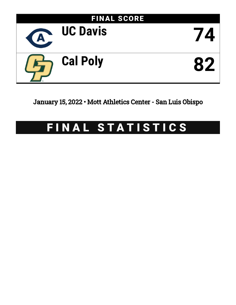

January 15, 2022 • Mott Athletics Center - San Luis Obispo

# FINAL STATISTICS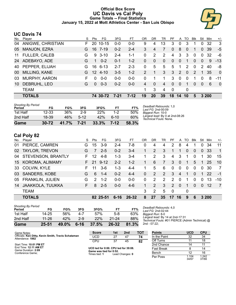### **Official Box Score UC Davis vs Cal Poly Game Totals -- Final Statistics January 15, 2022 at Mott Athletics Center - San Luis Obispo**



# **UC Davis 74**

| No. | Plaver               | S  | Pts             | FG        | 3FG      | FТ      | 0R | DR           | TR             | PF           | A              | TO       | <b>Blk</b>     | Stl      | Min   | $+/-$          |
|-----|----------------------|----|-----------------|-----------|----------|---------|----|--------------|----------------|--------------|----------------|----------|----------------|----------|-------|----------------|
| 04  | ANIGWE, CHRISTIAN    | F. | 20              | $10 - 15$ | $0 - 0$  | $0-0$   | 9  | 4            | 13             | 3            | $\mathbf{0}$   | 3        |                | 0        | 32    | 3              |
| 05  | <b>MANJON, EZRA</b>  | G  | 16              | 7-19      | $0 - 2$  | $2 - 4$ | 3  | 4            | 7              | 0            | 8              | $\Omega$ | 1              | 0        | 39    | $-5$           |
| 11  | <b>FULLER, CALEB</b> | G  | 9               | $3 - 10$  | $2 - 4$  | $1 - 1$ | 0  | 2            | $\overline{2}$ | 4            | 3              | 3        | $\mathbf{0}$   | $\Omega$ | 32    | -6             |
| 24  | ADEBAYO, ADE         | G  |                 | $0 - 2$   | $0 - 1$  | $1 - 2$ | 0  | $\mathbf{0}$ | $\mathbf{0}$   | $\mathbf{0}$ | $\overline{0}$ | 1        | $\overline{0}$ | $\Omega$ | 9     | $-13$          |
| 40  | PEPPER, ELIJAH       | G  | 16              | $6 - 13$  | $2 - 7$  | $2 - 3$ | 0  | 5            | 5              | 5            |                | 2        | $\Omega$       | 2        | 40    | -8             |
| 00  | MILLING, KANE        | G. | 12 <sup>°</sup> | 4-10      | $3-5$    | $1 - 2$ | 2  | 1            | 3              | 3            | 2              | $\Omega$ | $\mathcal{P}$  | 1        | 35    | $\Omega$       |
| 03  | <b>MURPHY, AARON</b> | F  | 0               | $0 - 0$   | $0-0$    | $0-0$   | 0  | 1            | 1              | 3            | $\mathbf{0}$   | 0        | 1              | 0        | 8     | $-11$          |
| 10  | DEBRUHL, LEO         | G  | $\Omega$        | $0 - 3$   | $0 - 2$  | $0 - 0$ | 4  | $\Omega$     | 4              | $\Omega$     | $\Omega$       | 1        | $\Omega$       | $\Omega$ | 6     | $\overline{0}$ |
|     | <b>TEAM</b>          |    |                 |           |          |         | 1. | 3            | 4              | $\mathbf 0$  |                | 0        |                |          |       |                |
|     | <b>TOTALS</b>        |    |                 | 74 30-72  | $7 - 21$ | $7-12$  | 19 | 20           | 39             | 18           | 14             | 10       | 5              |          | 3 200 |                |
|     |                      |    |                 |           |          |         |    |              |                |              |                |          |                |          |       |                |

| <b>Shooting By Period</b><br>Period | FG        | FG%   | 3FG      | 3FG%     | FT      | FT%   | Deadball Rebounds: 1,0<br>Last $FG: 2nd-00:09$            |
|-------------------------------------|-----------|-------|----------|----------|---------|-------|-----------------------------------------------------------|
| 1st Half                            | $12 - 33$ | 36%   | $2-9$    | 22%      | $1 - 2$ | 50%   | Biggest Run: 10-0                                         |
| 2nd Half                            | 18-39     | 46%   | $5-12$   | 42%      | $6-10$  | 60%   | Largest lead: By 0 at 2nd-08:26<br>Technical Fouls: None. |
| Game                                | $30 - 72$ | 41.7% | $7 - 21$ | $33.3\%$ | $7-12$  | 58.3% |                                                           |

# **Cal Poly 82**

| No.             | Player                  | S. | <b>Pts</b>    | FG.      | 3FG      | FT      | OR       | DR. | TR             | PF            |                | A TO     | <b>Blk</b> | Stl      | Min      | $+/-$          |
|-----------------|-------------------------|----|---------------|----------|----------|---------|----------|-----|----------------|---------------|----------------|----------|------------|----------|----------|----------------|
| 01              | PIERCE, CAMREN          | G  | 15            | $3-9$    | $2 - 4$  | $7-8$   | 0        | 4   | 4              | 2             | 8              | 4        |            | 0        | 34       | 11             |
| 02 <sub>1</sub> | <b>TAYLOR, TREVON</b>   | G  | 7             | $2 - 5$  | $0 - 2$  | $3-4$   |          | 2   | 3              | $\mathbf 1$   | 1              | $\Omega$ | $\Omega$   | $\Omega$ | -33      | $\mathbf{1}$   |
|                 | 04 STEVENSON, BRANTLY   | F. | 12            | $4 - 8$  | $1 - 3$  | $3 - 4$ |          | 2   | 3              | 4             | 3              | 1        | $\Omega$   |          | 30       | 15             |
|                 | 15 KOROMA, ALIMAMY      | F. |               | 21 9-12  | $2 - 2$  | $1 - 2$ | 1.       | 6   | $\overline{7}$ | 3             | $\mathbf{0}$   | 1        | 5          | -1       | 25       | 10             |
|                 | 33 COLVIN, KYLE         | F. | 11            | $3-6$    | $1 - 3$  | $4 - 4$ | 1        | 5   | 6              | $\Omega$      | $\Omega$       | $\Omega$ | $\Omega$   | $\Omega$ | 30       | 7              |
|                 | 03 SANDERS, KOBE        | G  | 6             | $1 - 4$  | $0 - 2$  | $4 - 4$ | $\Omega$ | 2   | 2              | $\mathcal{S}$ | $\overline{4}$ | -1       | $\Omega$   |          | $1 \t22$ | $-1$           |
|                 | 05 FRANKLIN, JULIEN     | G  | $\mathcal{P}$ | $1 - 2$  | $0 - 0$  | $0-0$   | $\Omega$ | 2   | 2              | $\mathcal{P}$ | $\Omega$       | 1        | $\Omega$   | $\Omega$ | 13       | $-10$          |
| 14              | <b>JAAKKOLA, TUUKKA</b> | F. | 8             | $2 - 5$  | $0 - 0$  | $4-6$   | 1.       | 2   | 3              | 2             | $\Omega$       | 1        | $\Omega$   | $\Omega$ | -12      | $\overline{7}$ |
|                 | <b>TEAM</b>             |    |               |          |          |         | 3        | 2   | 5              | $\mathbf{0}$  |                | 0        |            |          |          |                |
|                 | <b>TOTALS</b>           |    |               | 82 25-51 | $6 - 16$ | 26-32   | 8        | 27  | 35             | 17            | 16             | 9        | 6          |          | 3 200    |                |
|                 |                         |    |               |          |          |         |          |     |                |               |                |          |            |          |          |                |

| Game                                | 25-51     | 49.0% | $6 - 16$ | 37.5% | 26-32     | 81.3% | 2 |
|-------------------------------------|-----------|-------|----------|-------|-----------|-------|---|
| 2nd Half                            | $11 - 26$ | 42%   | $2-9$    | 22%   | $21 - 24$ | 88%   |   |
| 1st Half                            | 14-25     | 56%   | 4-7      | 57%   | $5-8$     | 63%   | B |
| <b>Shooting By Period</b><br>Period | FG        | FG%   | 3FG      | 3FG%  | FT        | FT%   |   |

*Deadball Rebounds:* 4,0 *Last FG:* 2nd-02:44 *Biggest Run:* 8-0 *Largest lead:* By 14 at 2nd-17:31 *Technical Fouls:* #01 PIERCE (Admin Technical) @  $2n$ d - 07:22;

| Game Notes:                                                             | <b>Score</b>                                    | 1st | 2 <sub>nd</sub> | тот        | <b>Points</b> | <b>UCD</b>     | <b>CPU</b>     |
|-------------------------------------------------------------------------|-------------------------------------------------|-----|-----------------|------------|---------------|----------------|----------------|
| Officials: Ken Ditty, Kevin Smith, Travis Schatzman<br>Attendance: 1862 | UCD                                             | 27  | 47              | 74         | In the Paint  | 32             | 34             |
|                                                                         | CPU                                             | 37  | 45              | 82         | Off Turns     |                | 18             |
| Start Time: 10:01 PM ET                                                 |                                                 |     |                 |            | 2nd Chance    |                | 11             |
| End Time: 12:11 AM ET<br>Game Duration: 2:09                            | UCD led for 0:00. CPU led for 39:08.            |     |                 | Fast Break |               | 14             |                |
| Conference Game:                                                        | Game was tied for 0:52.<br>Times tied: <b>1</b> |     | Lead Changes: 0 |            | Bench         |                | 16             |
|                                                                         |                                                 |     |                 |            | Per Poss      | 1.104<br>34/67 | 1.242<br>37/66 |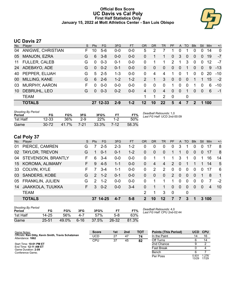### **Official Box Score UC Davis vs Cal Poly First Half Statistics Only January 15, 2022 at Mott Athletics Center - San Luis Obispo**



# **UC Davis 27**

| No. | Plaver               | S. | <b>Pts</b>   | FG.      | 3FG     | <b>FT</b> | 0R      | <b>DR</b>    | <b>TR</b>      | <b>PF</b>     | A              | TO       | <b>Blk</b> | Stl      | Min   | $+/-$       |
|-----|----------------------|----|--------------|----------|---------|-----------|---------|--------------|----------------|---------------|----------------|----------|------------|----------|-------|-------------|
| 04  | ANIGWE, CHRISTIAN    | F. | 10           | $5-6$    | $0 - 0$ | $0 - 0$   | 5       | 2            | 7              |               | 0              |          | 0          | 0        | 14    | $\mathbf 0$ |
| 05  | MANJON, EZRA         | G  | 6            | $3 - 8$  | $0-0$   | $0-0$     | 0       |              |                | $\mathbf{0}$  | 3              | $\Omega$ | 0          | 0        | 19    | $-7$        |
| 11  | <b>FULLER, CALEB</b> | G  | $\Omega$     | $0 - 3$  | $0 - 1$ | $0-0$     | 0       |              | 1              | $\mathcal{P}$ | 1              | 3        | $\Omega$   | 0        | 12    | -7          |
| 24  | ADEBAYO, ADE         | G  | $\Omega$     | $0 - 2$  | $0 - 1$ | $0 - 0$   | 0       | 0            | $\Omega$       | $\Omega$      | $\overline{0}$ | 1        | $\Omega$   | $\Omega$ | 9     | $-13$       |
| 40  | PEPPER, ELIJAH       | G  | 5            | $2 - 5$  | $1 - 3$ | $0-0$     | 0       | 4            | 4              |               | 0              |          | 0          | 0        | 20    | $-10$       |
| 00  | MILLING, KANE        | G  | 6            | $2 - 6$  | $1 - 2$ | $1 - 2$   | 2       | 1            | 3              | $\Omega$      | $\Omega$       | $\Omega$ |            | 1        | 15    | $-2$        |
| 03  | MURPHY, AARON        | F  | <sup>0</sup> | $0 - 0$  | $0-0$   | $0 - 0$   | 0       | $\Omega$     | $\Omega$       | 1             | 0              | $\Omega$ |            | 0        | 6     | $-10$       |
| 10  | DEBRUHL, LEO         | G  | $\Omega$     | $0 - 3$  | $0 - 2$ | $0-0$     | 4       | $\mathbf{0}$ | 4              | $\Omega$      | $\overline{0}$ | 1        | $\Omega$   | $\Omega$ | 6     | -1          |
|     | <b>TEAM</b>          |    |              |          |         |           | 1       | 1            | $\overline{2}$ | $\mathbf 0$   |                | 0        |            |          |       |             |
|     | <b>TOTALS</b>        |    |              | 27 12-33 | $2 - 9$ | $1 - 2$   | $12 \,$ | 10           | 22             | 5             | 4              |          | 2          |          | 1 100 |             |
|     |                      |    |              |          |         |           |         |              |                |               |                |          |            |          |       |             |

| <b>Shooting By Period</b><br>Period | FG        | FG%   | 3FG   | 3FG%   | FТ      | FT%   | Deadball Rebounds: 1,0<br>Last FG Half: UCD 2nd-00:09 |
|-------------------------------------|-----------|-------|-------|--------|---------|-------|-------------------------------------------------------|
| 1st Half                            | $12 - 33$ | 36%   | $2-9$ | $22\%$ | $1 - 2$ | 50%   |                                                       |
| Game                                | $30 - 72$ | 41 7% | 7-21  | 33.3%  | 7-12    | 58.3% |                                                       |

# **Cal Poly 37**

| No. | Player                    | S  | <b>Pts</b>    | <b>FG</b> | 3FG     | <b>FT</b> | <b>OR</b>      | <b>DR</b> | <b>TR</b> | <b>PF</b>   | A        | TO.      | <b>Blk</b> | Stl      | Min            | $+/-$          |
|-----|---------------------------|----|---------------|-----------|---------|-----------|----------------|-----------|-----------|-------------|----------|----------|------------|----------|----------------|----------------|
| 01  | PIERCE, CAMREN            | G  | 7             | $2 - 5$   | $2 - 3$ | $1 - 2$   | 0              | $\Omega$  | $\Omega$  | 0           | 3        |          | $\Omega$   | 0        | 17             | 8              |
| 02  | <b>TAYLOR, TREVON</b>     | G  | 1             | $0 - 1$   | $0 - 1$ | $1 - 2$   | $\Omega$       | 0         | $\Omega$  |             | 1        | 0        | $\Omega$   | 0        | 17             | 8              |
| 04  | <b>STEVENSON, BRANTLY</b> | F  | 6             | $3 - 4$   | $0-0$   | $0 - 0$   | 0              |           |           | 1.          | 3        |          | $\Omega$   | 1        | 16             | 14             |
| 15  | KOROMA, ALIMAMY           | F. | 9             | $4-5$     | $1 - 1$ | $0 - 0$   | $\Omega$       | 4         | 4         | 2           | $\Omega$ | 1        |            | 1.       | 14             | 5              |
| 33  | COLVIN, KYLE              | F  |               | $3 - 4$   | $1 - 1$ | $0-0$     | $\Omega$       | 2         | 2         | $\Omega$    | $\Omega$ | $\Omega$ | $\Omega$   | $\Omega$ | 17             | -6             |
| 03  | SANDERS, KOBE             | G. | $\mathcal{P}$ | $1 - 2$   | $0 - 1$ | $0 - 0$   | $\Omega$       | $\Omega$  | $\Omega$  | 2           | $\Omega$ | $\Omega$ | $\Omega$   | 1        | 8              | $\overline{1}$ |
| 05  | <b>FRANKLIN, JULIEN</b>   | G  | $\mathcal{P}$ | $1 - 2$   | $0 - 0$ | $0 - 0$   | 0              |           |           | 1           | $\Omega$ | $\Omega$ | $\Omega$   | $\Omega$ | 7              | $-2$           |
| 14  | <b>JAAKKOLA, TUUKKA</b>   | F. | 3             | $0 - 2$   | $0 - 0$ | $3 - 4$   | 0              |           |           | 0           | $\Omega$ | 0        | $\Omega$   | $\Omega$ | $\overline{4}$ | 10             |
|     | <b>TEAM</b>               |    |               |           |         |           | 2              |           | 3         | $\mathbf 0$ |          | 0        |            |          |                |                |
|     | <b>TOTALS</b>             |    |               | 37 14-25  | $4 - 7$ | $5 - 8$   | $\overline{2}$ | 10        | $12 \,$   | 7           |          | 3        |            |          | 3 100          |                |
|     |                           |    |               |           |         |           |                |           |           |             |          |          |            |          |                |                |

| Shooting By Period<br>Period | FG        | FG%   | 3FG  | 3FG%  | FT        | FT%   |
|------------------------------|-----------|-------|------|-------|-----------|-------|
| 1st Half                     | 14-25     | 56%   | 4-7  | 57%   | 5-8       | 63%   |
| Game                         | $25 - 51$ | 49.0% | 6-16 | 37.5% | $26 - 32$ | 81.3% |

*Deadball Rebounds:* 4,0 *Last FG Half:* CPU 2nd-02:44

| Game Notes:                                                             | <b>Score</b> | 1st | 2 <sub>nd</sub> | <b>TOT</b> | <b>Points (This Period)</b> | <b>UCD</b>     | <b>CPU</b>     |
|-------------------------------------------------------------------------|--------------|-----|-----------------|------------|-----------------------------|----------------|----------------|
| Officials: Ken Ditty, Kevin Smith, Travis Schatzman<br>Attendance: 1862 | UCD          | 27  | 47              | 74         | In the Paint                |                | 16             |
|                                                                         | CPU          | 37  | 45              | 82         | Off Turns                   |                | 14             |
| Start Time: 10:01 PM ET                                                 |              |     |                 |            | 2nd Chance                  |                | ົ              |
| End Time: 12:11 AM ET<br>Game Duration: 2:09                            |              |     |                 |            | <b>Fast Break</b>           |                |                |
| Conference Game:                                                        |              |     |                 |            | Bench                       |                |                |
|                                                                         |              |     |                 |            | Per Poss                    | 0.931<br>13/29 | 1.276<br>17/29 |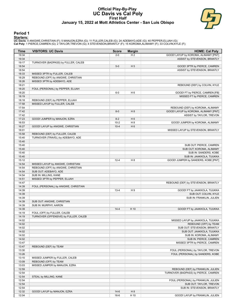#### **Official Play-By-Play UC Davis vs Cal Poly First Half January 15, 2022 at Mott Athletics Center - San Luis Obispo**



#### **Period 1**

<mark>Starters:</mark><br>UC Davis: 4 ANIGWE,CHRISTIAN (F); 5 MANJON,EZRA (G); 11 FULLER,CALEB (G); 24 ADEBAYO,ADE (G); 40 PEPPER,ELIJAH (G);<br>Cal Poly: 1 PIERCE,CAMREN (G); 2 TAYLOR,TREVON (G); 4 STEVENSON,BRANTLY (F); 15 KOROMA,ALIMAMY

| Time           | <b>VISITORS: UC Davis</b>             | <b>Score</b> | <b>Margin</b>  | <b>HOME: Cal Poly</b>                                          |
|----------------|---------------------------------------|--------------|----------------|----------------------------------------------------------------|
| 19:34          |                                       | $2 - 0$      | H <sub>2</sub> | GOOD! LAYUP by KOROMA, ALIMAMY [PNT]                           |
| 19:34          |                                       |              |                | ASSIST by STEVENSON, BRANTLY                                   |
| 19:17          | TURNOVER (BADPASS) by FULLER, CALEB   |              |                |                                                                |
| 18:54          |                                       | $5-0$        | H <sub>5</sub> | GOOD! 3PTR by PIERCE, CAMREN                                   |
| 18:54          |                                       |              |                | ASSIST by STEVENSON, BRANTLY                                   |
| 18:33          | MISSED 3PTR by FULLER, CALEB          |              |                |                                                                |
| 18:29          | REBOUND (OFF) by ANIGWE, CHRISTIAN    |              |                |                                                                |
| 18:26          | MISSED 3PTR by ADEBAYO, ADE           |              |                |                                                                |
| 18:21          |                                       |              |                | REBOUND (DEF) by COLVIN, KYLE                                  |
| 18:20          | FOUL (PERSONAL) by PEPPER, ELIJAH     |              |                |                                                                |
| 18:20<br>18:19 |                                       | $6-0$        | H <sub>6</sub> | GOOD! FT by PIERCE, CAMREN [FB]<br>MISSED FT by PIERCE, CAMREN |
| 18:18          | REBOUND (DEF) by PEPPER, ELIJAH       |              |                |                                                                |
| 17:58          | MISSED LAYUP by FULLER, CALEB         |              |                |                                                                |
| 17:54          |                                       |              |                | REBOUND (DEF) by KOROMA, ALIMAMY                               |
| 17:42          |                                       | $8-0$        | H 8            | GOOD! LAYUP by KOROMA, ALIMAMY [PNT]                           |
| 17:42          |                                       |              |                | ASSIST by TAYLOR, TREVON                                       |
| 17:23          | GOOD! JUMPER by MANJON, EZRA          | $8 - 2$      | H <sub>6</sub> |                                                                |
| 16:53          |                                       | $10-2$       | H <sub>8</sub> | GOOD! JUMPER by KOROMA, ALIMAMY                                |
| 16:27          | GOOD! LAYUP by ANIGWE, CHRISTIAN      | $10 - 4$     | H <sub>6</sub> |                                                                |
| 16:01          |                                       |              |                | MISSED LAYUP by STEVENSON, BRANTLY                             |
| 15:58          | REBOUND (DEF) by FULLER, CALEB        |              |                |                                                                |
| 15:40          | TURNOVER (TRAVEL) by ADEBAYO, ADE     |              |                |                                                                |
| 15:40          |                                       |              |                |                                                                |
| 15:40          |                                       |              |                | SUB OUT: PIERCE, CAMREN                                        |
| 15:40          |                                       |              |                | SUB OUT: KOROMA, ALIMAMY                                       |
| 15:40          |                                       |              |                | SUB IN: SANDERS, KOBE                                          |
| 15:40          |                                       |              |                | SUB IN: JAAKKOLA, TUUKKA                                       |
| 15:12          |                                       | $12 - 4$     | H <sub>8</sub> | GOOD! JUMPER by SANDERS, KOBE [PNT]                            |
| 14:54          | MISSED LAYUP by ANIGWE, CHRISTIAN     |              |                |                                                                |
| 14:54          | REBOUND (OFF) by ANIGWE, CHRISTIAN    |              |                |                                                                |
| 14:54          | SUB OUT: ADEBAYO, ADE                 |              |                |                                                                |
| 14:54          | SUB IN: MILLING, KANE                 |              |                |                                                                |
| 14:51          | MISSED 3PTR by PEPPER, ELIJAH         |              |                |                                                                |
| 14:47          |                                       |              |                | REBOUND (DEF) by STEVENSON, BRANTLY                            |
| 14:39<br>14:39 | FOUL (PERSONAL) by ANIGWE, CHRISTIAN  | $13 - 4$     | H9             | GOOD! FT by JAAKKOLA, TUUKKA                                   |
| 14:39          |                                       |              |                | SUB OUT: COLVIN, KYLE                                          |
| 14:39          |                                       |              |                | SUB IN: FRANKLIN, JULIEN                                       |
| 14:39          | SUB OUT: ANIGWE, CHRISTIAN            |              |                |                                                                |
| 14:39          | SUB IN: MURPHY, AARON                 |              |                |                                                                |
| 14:39          |                                       | $14 - 4$     | H 10           | GOOD! FT by JAAKKOLA, TUUKKA                                   |
| 14:19          | FOUL (OFF) by FULLER, CALEB           |              |                |                                                                |
| 14:19          | TURNOVER (OFFENSIVE) by FULLER, CALEB |              |                |                                                                |
| 14:02          |                                       |              |                | MISSED LAYUP by JAAKKOLA, TUUKKA                               |
| 14:02          |                                       |              |                | REBOUND (OFF) by TEAM                                          |
| 14:02          |                                       |              |                | SUB OUT: STEVENSON, BRANTLY                                    |
| 14:02          |                                       |              |                | SUB OUT: JAAKKOLA, TUUKKA                                      |
| 14:02          |                                       |              |                | SUB IN: KOROMA, ALIMAMY                                        |
| 14:02          |                                       |              |                | SUB IN: PIERCE, CAMREN                                         |
| 13:47          |                                       |              |                | MISSED 3PTR by PIERCE, CAMREN                                  |
| 13:47          | REBOUND (DEF) by TEAM                 |              |                |                                                                |
| 13:30          |                                       |              |                | FOUL (PERSONAL) by TAYLOR, TREVON                              |
| 13:26          |                                       |              |                | FOUL (PERSONAL) by SANDERS, KOBE                               |
| 13:10          | MISSED JUMPER by FULLER, CALEB        |              |                |                                                                |
| 13:09          | REBOUND (OFF) by TEAM                 |              |                |                                                                |
| 13:03          | MISSED JUMPER by MANJON, EZRA         |              |                |                                                                |
| 12:59          |                                       |              |                | REBOUND (DEF) by FRANKLIN, JULIEN                              |
| 12:54          |                                       |              |                | TURNOVER (BADPASS) by PIERCE, CAMREN                           |
| 12:54          | STEAL by MILLING, KANE                |              |                |                                                                |
| 12:54          |                                       |              |                | FOUL (PERSONAL) by FRANKLIN, JULIEN                            |
| 12:54          |                                       |              |                | SUB OUT: TAYLOR, TREVON                                        |
| 12:54<br>12:32 | GOOD! LAYUP by MANJON, EZRA           | $14-6$       | H <sub>8</sub> | SUB IN: STEVENSON, BRANTLY                                     |
| 12:04          |                                       | $16-6$       | H 10           | GOOD! LAYUP by FRANKLIN, JULIEN                                |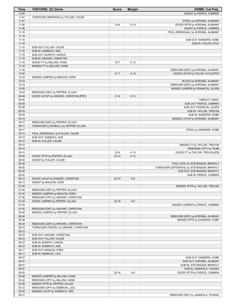| Time           | <b>VISITORS: UC Davis</b>              | <b>Score</b> | <b>Margin</b>  | <b>HOME: Cal Poly</b>                               |
|----------------|----------------------------------------|--------------|----------------|-----------------------------------------------------|
| 12:04          |                                        |              |                | ASSIST by PIERCE, CAMREN                            |
| 11:47          | TURNOVER (BADPASS) by FULLER, CALEB    |              |                |                                                     |
| 11:47          |                                        |              |                | STEAL by KOROMA, ALIMAMY                            |
| 11:38          |                                        | $19-6$       | H 13           | GOOD! 3PTR by KOROMA, ALIMAMY                       |
| 11:38          |                                        |              |                | ASSIST by PIERCE, CAMREN                            |
| 11:18          |                                        |              |                | FOUL (PERSONAL) by KOROMA, ALIMAMY                  |
| 11:18          |                                        |              |                |                                                     |
| 11:18          |                                        |              |                | SUB OUT: SANDERS, KOBE                              |
| 11:18          |                                        |              |                | SUB IN: COLVIN, KYLE                                |
| 11:18          | SUB OUT: FULLER, CALEB                 |              |                |                                                     |
| 11:18          | SUB IN: ADEBAYO, ADE                   |              |                |                                                     |
| 11:18          | SUB OUT: MURPHY, AARON                 |              |                |                                                     |
| 11:18          | SUB IN: ANIGWE, CHRISTIAN              |              |                |                                                     |
| 11:18          | GOOD! FT by MILLING, KANE              | $19 - 7$     | H 12           |                                                     |
| 11:18          | MISSED FT by MILLING, KANE             |              |                |                                                     |
| 11:16          |                                        |              |                | REBOUND (DEF) by KOROMA, ALIMAMY                    |
| 10:50          |                                        | $21 - 7$     | H 14           | GOOD! LAYUP by COLVIN, KYLE [PNT]                   |
| 10:24          | MISSED JUMPER by MANJON, EZRA          |              |                |                                                     |
| 10:24          |                                        |              |                | BLOCK by KOROMA, ALIMAMY                            |
| 10:19          |                                        |              |                | REBOUND (DEF) by KOROMA, ALIMAMY                    |
| 10:08          |                                        |              |                | MISSED JUMPER by FRANKLIN, JULIEN                   |
| 10:04          | REBOUND (DEF) by PEPPER, ELIJAH        |              |                |                                                     |
| 09:46          | GOOD! LAYUP by ANIGWE, CHRISTIAN [PNT] | $21-9$       | H 12           |                                                     |
| 09:45<br>09:39 |                                        |              |                | TIMEOUT 30SEC<br>SUB OUT: PIERCE, CAMREN            |
|                |                                        |              |                |                                                     |
| 09:39<br>09:39 |                                        |              |                | SUB OUT: FRANKLIN, JULIEN<br>SUB IN: TAYLOR, TREVON |
| 09:39          |                                        |              |                | SUB IN: SANDERS, KOBE                               |
| 09:19          |                                        |              |                | MISSED LAYUP by KOROMA, ALIMAMY                     |
| 09:15          | REBOUND (DEF) by PEPPER, ELIJAH        |              |                |                                                     |
| 09:11          | TURNOVER (LOSTBALL) by PEPPER, ELIJAH  |              |                |                                                     |
| 09:11          |                                        |              |                | STEAL by SANDERS, KOBE                              |
| 09:10          | FOUL (PERSONAL) by FULLER, CALEB       |              |                |                                                     |
| 09:10          | SUB OUT: ADEBAYO, ADE                  |              |                |                                                     |
| 09:10          | SUB IN: FULLER, CALEB                  |              |                |                                                     |
| 09:10          |                                        |              |                | MISSED FT by TAYLOR, TREVON                         |
| 09:10          |                                        |              |                | REBOUND (OFF) by TEAM                               |
| 09:10          |                                        | $22-9$       | H 13           | GOOD! FT by TAYLOR, TREVON [FB]                     |
| 08:55          | GOOD! 3PTR by PEPPER, ELIJAH           | $22 - 12$    | H 10           |                                                     |
| 08:55          | ASSIST by FULLER, CALEB                |              |                |                                                     |
| 08:30          |                                        |              |                | FOUL (OFF) by STEVENSON, BRANTLY                    |
| 08:30          |                                        |              |                | TURNOVER (OFFENSIVE) by STEVENSON, BRANTLY          |
| 08:30          |                                        |              |                | SUB OUT: STEVENSON, BRANTLY                         |
| 08:30          |                                        |              |                | SUB IN: PIERCE, CAMREN                              |
| 08:12          | GOOD! LAYUP by ANIGWE, CHRISTIAN       | $22 - 14$    | H <sub>8</sub> |                                                     |
| 08:12          | ASSIST by MANJON, EZRA                 |              |                |                                                     |
| 07:49          |                                        |              |                | MISSED 3PTR by TAYLOR, TREVON                       |
| 07:45          | REBOUND (DEF) by PEPPER, ELIJAH        |              |                |                                                     |
| 07:40          | MISSED JUMPER by MANJON, EZRA          |              |                |                                                     |
| 07:36          | REBOUND (OFF) by ANIGWE, CHRISTIAN     |              |                |                                                     |
| 07:34          | GOOD! JUMPER by PEPPER, ELIJAH         | $22 - 16$    | H <sub>6</sub> |                                                     |
| 07:04          |                                        |              |                | MISSED JUMPER by PIERCE, CAMREN                     |
| 07:00          | REBOUND (DEF) by ANIGWE, CHRISTIAN     |              |                |                                                     |
| 06:50          | MISSED JUMPER by PEPPER, ELIJAH        |              |                |                                                     |
| 06:46          |                                        |              |                | REBOUND (DEF) by KOROMA, ALIMAMY                    |
| 06:38          |                                        |              |                | MISSED 3PTR by SANDERS, KOBE                        |
| 06:34          | REBOUND (DEF) by ANIGWE, CHRISTIAN     |              |                |                                                     |
| 06:23          | TURNOVER (TRAVEL) by ANIGWE, CHRISTIAN |              |                |                                                     |
| 06:23          |                                        |              |                |                                                     |
| 06:23          | SUB OUT: ANIGWE, CHRISTIAN             |              |                |                                                     |
| 06:23          | SUB OUT: FULLER, CALEB                 |              |                |                                                     |
| 06:23          | SUB IN: MURPHY, AARON                  |              |                |                                                     |
| 06:23          | SUB IN: ADEBAYO, ADE                   |              |                |                                                     |
| 06:17          | SUB OUT: MANJON, EZRA                  |              |                |                                                     |
| 06:17          | SUB IN: DEBRUHL, LEO                   |              |                |                                                     |
| 06:07          |                                        |              |                | SUB OUT: SANDERS, KOBE                              |
| 06:07          |                                        |              |                | SUB OUT: KOROMA, ALIMAMY                            |
| 06:07          |                                        |              |                | SUB IN: STEVENSON, BRANTLY                          |
| 06:07          |                                        |              |                | SUB IN: JAAKKOLA, TUUKKA                            |
| 06:00          |                                        | 25-16        | H9             | GOOD! 3PTR by PIERCE, CAMREN                        |
| 05:46          | MISSED JUMPER by MILLING, KANE         |              |                |                                                     |
| 05:42          | REBOUND (OFF) by MILLING, KANE         |              |                |                                                     |
| 05:36          | MISSED 3PTR by PEPPER, ELIJAH          |              |                |                                                     |
| 05:33          | REBOUND (OFF) by DEBRUHL, LEO          |              |                |                                                     |
| 05:25          | MISSED LAYUP by ADEBAYO, ADE           |              |                |                                                     |
| 05:21          |                                        |              |                | REBOUND (DEF) by JAAKKOLA, TUUKKA                   |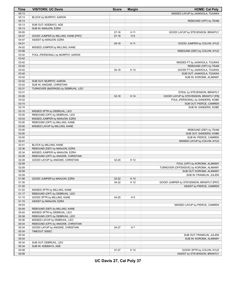| <b>Time</b>    | <b>VISITORS: UC Davis</b>           | <b>Score</b> | <b>Margin</b> | <b>HOME: Cal Poly</b>                                |
|----------------|-------------------------------------|--------------|---------------|------------------------------------------------------|
| 05:13          |                                     |              |               | MISSED LAYUP by JAAKKOLA, TUUKKA                     |
| 05:13          | BLOCK by MURPHY, AARON              |              |               |                                                      |
| 05:13          |                                     |              |               | REBOUND (OFF) by TEAM                                |
| 05:13          | SUB OUT: ADEBAYO, ADE               |              |               |                                                      |
| 05:13          | SUB IN: MANJON, EZRA                |              |               |                                                      |
| 05:05          |                                     | $27-16$      | H 11          | GOOD! LAYUP by STEVENSON, BRANTLY                    |
| 04:47          | GOOD! JUMPER by MILLING, KANE [PNT] | $27-18$      | H9            |                                                      |
| 04:47          | ASSIST by MANJON, EZRA              |              |               |                                                      |
| 04:21          |                                     | $29-18$      | H 11          | GOOD! JUMPER by COLVIN, KYLE                         |
| 04:02          | MISSED JUMPER by MILLING, KANE      |              |               |                                                      |
| 03:58          |                                     |              |               | REBOUND (DEF) by COLVIN, KYLE                        |
| 03:42          | FOUL (PERSONAL) by MURPHY, AARON    |              |               |                                                      |
| 03:42          |                                     |              |               |                                                      |
| 03:42          |                                     |              |               | MISSED FT by JAAKKOLA, TUUKKA                        |
| 03:42          |                                     |              |               | REBOUND (OFF) by TEAM                                |
| 03:42          |                                     | $30 - 18$    | H 12          | GOOD! FT by JAAKKOLA, TUUKKA                         |
| 03:42          |                                     |              |               | SUB OUT: JAAKKOLA, TUUKKA                            |
| 03:42          |                                     |              |               | SUB IN: KOROMA, ALIMAMY                              |
| 03:42          | SUB OUT: MURPHY, AARON              |              |               |                                                      |
| 03:42          | SUB IN: ANIGWE, CHRISTIAN           |              |               |                                                      |
| 03:31          | TURNOVER (BADPASS) by DEBRUHL, LEO  |              |               |                                                      |
| 03:31          |                                     |              |               | STEAL by STEVENSON, BRANTLY                          |
| 03:26          |                                     | $32 - 18$    | H 14          | GOOD! LAYUP by STEVENSON, BRANTLY [FB]               |
| 03:22          |                                     |              |               | FOUL (PERSONAL) by SANDERS, KOBE                     |
| 03:15          |                                     |              |               | SUB OUT: PIERCE, CAMREN                              |
| 03:15          |                                     |              |               | SUB IN: SANDERS, KOBE                                |
| 03:10          | MISSED 3PTR by DEBRUHL, LEO         |              |               |                                                      |
| 03:05          | REBOUND (OFF) by DEBRUHL, LEO       |              |               |                                                      |
| 03:03          | MISSED JUMPER by MANJON, EZRA       |              |               |                                                      |
| 03:00          | REBOUND (OFF) by MILLING, KANE      |              |               |                                                      |
| 03:00          | MISSED LAYUP by MILLING, KANE       |              |               |                                                      |
| 03:00          |                                     |              |               | REBOUND (DEF) by TEAM                                |
| 03:00          |                                     |              |               | SUB OUT: SANDERS, KOBE                               |
| 03:00          |                                     |              |               | SUB IN: PIERCE, CAMREN                               |
| 02:41          |                                     |              |               |                                                      |
| 02:41          |                                     |              |               | MISSED LAYUP by COLVIN, KYLE                         |
| 02:36          | BLOCK by MILLING, KANE              |              |               |                                                      |
| 02:34          | REBOUND (DEF) by MANJON, EZRA       |              |               |                                                      |
| 02:28          | MISSED JUMPER by MANJON, EZRA       |              |               |                                                      |
| 02:28          | REBOUND (OFF) by ANIGWE, CHRISTIAN  | 32-20        | H 12          |                                                      |
| 02:09          | GOOD! LAYUP by ANIGWE, CHRISTIAN    |              |               |                                                      |
| 02:09          |                                     |              |               | FOUL (OFF) by KOROMA, ALIMAMY                        |
| 02:09          |                                     |              |               | TURNOVER (OFFENSIVE) by KOROMA, ALIMAMY              |
| 02:09          |                                     |              |               | SUB OUT: KOROMA, ALIMAMY<br>SUB IN: FRANKLIN, JULIEN |
| 01:56          | GOOD! JUMPER by MANJON, EZRA        | 32-22        | H 10          |                                                      |
| 01:35          |                                     | 34-22        | H 12          | GOOD! JUMPER by STEVENSON, BRANTLY [PNT]             |
| 01:35          |                                     |              |               | ASSIST by PIERCE, CAMREN                             |
| 01:22          | MISSED 3PTR by MILLING, KANE        |              |               |                                                      |
| 01:17          | REBOUND (OFF) by DEBRUHL, LEO       |              |               |                                                      |
| 01:15          | GOOD! 3PTR by MILLING, KANE         | 34-25        | H9            |                                                      |
| 01:15          | ASSIST by MANJON, EZRA              |              |               |                                                      |
| 00:53          |                                     |              |               | MISSED LAYUP by PIERCE, CAMREN                       |
| 00:49          | REBOUND (DEF) by MILLING, KANE      |              |               |                                                      |
|                | MISSED 3PTR by DEBRUHL, LEO         |              |               |                                                      |
| 00:42<br>00:38 |                                     |              |               |                                                      |
|                | REBOUND (OFF) by DEBRUHL, LEO       |              |               |                                                      |
| 00:36          | MISSED LAYUP by DEBRUHL, LEO        |              |               |                                                      |
| 00:34          | REBOUND (OFF) by ANIGWE, CHRISTIAN  |              |               |                                                      |
| 00:34          | GOOD! LAYUP by ANIGWE, CHRISTIAN    | 34-27        | H 7           |                                                      |
| 00:34          | TIMEOUT 30SEC                       |              |               |                                                      |
| 00:34          |                                     |              |               | SUB OUT: FRANKLIN, JULIEN                            |
| 00:34          |                                     |              |               | SUB IN: KOROMA, ALIMAMY                              |
| 00:34          | SUB OUT: DEBRUHL, LEO               |              |               |                                                      |
| 00:34          | SUB IN: ADEBAYO, ADE                |              |               |                                                      |
| 00:08          |                                     | 37-27        | H 10          | GOOD! 3PTR by COLVIN, KYLE                           |
| 00:08          |                                     |              |               | ASSIST by STEVENSON, BRANTLY                         |

**UC Davis 27, Cal Poly 37**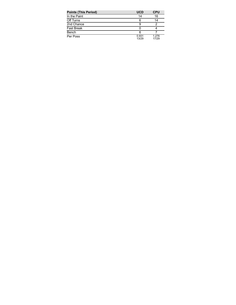| <b>Points (This Period)</b> | <b>UCD</b>     | <b>CPU</b>     |
|-----------------------------|----------------|----------------|
| In the Paint                | 14             | 16             |
| Off Turns                   | 6              | 14             |
| 2nd Chance                  |                |                |
| <b>Fast Break</b>           |                |                |
| Bench                       | 6              |                |
| Per Poss                    | 0.931<br>13/29 | 1.276<br>17/29 |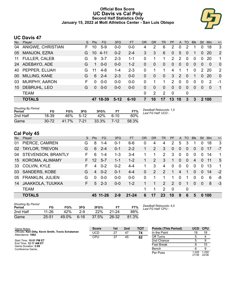### **Official Box Score UC Davis vs Cal Poly Second Half Statistics Only January 15, 2022 at Mott Athletics Center - San Luis Obispo**



# **UC Davis 47**

| No. | Plaver               | S  | Pts      | FG       | 3FG     | <b>FT</b> | <b>OR</b>    | <b>DR</b> | TR             | PF             | A        | TO           | <b>B</b> lk | Stl            | Min      | $+/-$        |
|-----|----------------------|----|----------|----------|---------|-----------|--------------|-----------|----------------|----------------|----------|--------------|-------------|----------------|----------|--------------|
| 04  | ANIGWE, CHRISTIAN    | F. | 10       | $5-9$    | $0 - 0$ | $0 - 0$   | 4            | 2         | 6              | 2              | 0        | 2            |             | $\Omega$       | 18       | 3            |
| 05  | <b>MANJON, EZRA</b>  | G  | 10       | $4 - 11$ | $0 - 2$ | $2 - 4$   | 3            | 3         | 6              | $\Omega$       | 5        | 0            |             | $\overline{0}$ | 20       | 2            |
| 11  | <b>FULLER, CALEB</b> | G  | 9        | $3 - 7$  | $2 - 3$ | $1 - 1$   | 0            | 1         | 1              | 2              | 2        | $\mathbf{0}$ | 0           | 0              | 20       | 1            |
| 24  | ADEBAYO, ADE         | G  | 1        | $0 - 0$  | $0 - 0$ | $1 - 2$   | 0            | 0         | $\Omega$       | 0              | $\Omega$ | 0            | $\Omega$    | $\Omega$       | $\Omega$ | $\Omega$     |
| 40  | PEPPER, ELIJAH       | G  | 11       | $4 - 8$  | 1-4     | $2 - 3$   | 0            |           |                | $\overline{4}$ |          |              | $\Omega$    | $\mathcal{P}$  | 20       | 2            |
| 00  | MILLING, KANE        | G  | 6        | $2 - 4$  | $2 - 3$ | $0-0$     | $\Omega$     | $\Omega$  | $\Omega$       | 3              | 2        | $\Omega$     |             | $\Omega$       | 20       | $\mathbf 0$  |
| 03  | <b>MURPHY, AARON</b> | F  | 0        | $0 - 0$  | $0-0$   | $0-0$     | $\Omega$     |           |                | 2              | $\Omega$ | $\Omega$     | $\Omega$    | $\Omega$       | -2       | -1           |
| 10  | DEBRUHL, LEO         | G  | $\Omega$ | $0 - 0$  | $0 - 0$ | $0 - 0$   | $\mathbf{0}$ | 0         | $\overline{0}$ | $\Omega$       | $\Omega$ | $\Omega$     | $\Omega$    | $\Omega$       | $\Omega$ | $\mathbf{1}$ |
|     | <b>TEAM</b>          |    |          |          |         |           | $\Omega$     | 2         | 2              | 0              |          | 0            |             |                |          |              |
|     | <b>TOTALS</b>        |    | 47       | 18-39    | $5-12$  | $6 - 10$  | 7            | 10        | 17             | 13             | 10       | 3            | 3           |                | 2 100    |              |

| <b>Shooting By Period</b><br>Period | FG        | FG%   | 3FG    | 3FG%  |      | FT%   | Deadball Rebounds: 1,0<br>Last FG Half: UCD - |
|-------------------------------------|-----------|-------|--------|-------|------|-------|-----------------------------------------------|
| 2nd Half                            | 18-39     | 46%   | $5-12$ | 42%   |      | 60%   |                                               |
| Game                                | $30 - 72$ | 41.7% | 7-21   | 33.3% | 7-12 | 58.3% |                                               |

# **Cal Poly 45**

| No. | Player                    | S. | <b>Pts</b>      | FG.      | 3FG     | <b>FT</b> | OR       | <b>DR</b> | TR                    | <b>PF</b>     | A              | TO             | <b>B</b> lk    | Stl            | Min | $+/-$ |
|-----|---------------------------|----|-----------------|----------|---------|-----------|----------|-----------|-----------------------|---------------|----------------|----------------|----------------|----------------|-----|-------|
| 01  | PIERCE, CAMREN            | G  | 8               | $1 - 4$  | $0 - 1$ | $6-6$     | 0        | 4         | 4                     | 2             | 5              | 3              |                | $\Omega$       | 18  | 3     |
|     | 02 TAYLOR, TREVON         | G  | 6               | $2 - 4$  | $0 - 1$ | $2 - 2$   |          | 2         | 3                     | $\mathbf{0}$  | $\overline{0}$ | $\overline{0}$ | 0              | $\overline{0}$ | 17  | -7    |
| 04  | <b>STEVENSON, BRANTLY</b> | F  | 6               | $1 - 4$  | $1 - 3$ | $3 - 4$   |          | 1         | $\mathbf{2}^{\prime}$ | 3             | $\mathbf{0}$   | $\mathbf{0}$   | $\Omega$       | $\Omega$       | 14  | 1     |
|     | 15 KOROMA, ALIMAMY        |    | 12 <sup>°</sup> | $5 - 7$  | $1 - 1$ | $1 - 2$   |          | 2         | 3                     | 1             | $\Omega$       | $\Omega$       | $\overline{4}$ | $\Omega$       | -11 | 5     |
| 33  | COLVIN, KYLE              | F  | 4               | $0 - 2$  | $0 - 2$ | $4 - 4$   | 1.       | 3         | $\overline{4}$        | 0             | $\Omega$       | $\Omega$       | $\Omega$       | $\Omega$       | 13  | 1     |
| 03  | <b>SANDERS, KOBE</b>      | G  | 4               | $0 - 2$  | $0 - 1$ | $4 - 4$   | $\Omega$ | 2         | 2                     | 1             | 4              | 1              | $\Omega$       | $\Omega$       | 14  | $-2$  |
| 05  | <b>FRANKLIN, JULIEN</b>   | G  | $\Omega$        | $0 - 0$  | $0-0$   | $0 - 0$   | $\Omega$ |           |                       | 1             | $\Omega$       |                | $\Omega$       | $\Omega$       | 6   | -8    |
| 14  | <b>JAAKKOLA, TUUKKA</b>   | F. | $5^{\circ}$     | $-2-3$   | $0 - 0$ | $1 - 2$   |          | 1         | $\mathcal{P}$         | $\mathcal{P}$ | $\Omega$       | 1              | $\Omega$       | $\Omega$       | 8   | $-3$  |
|     | <b>TEAM</b>               |    |                 |          |         |           |          | 1         | 2                     | - 0           |                | $\mathbf{0}$   |                |                |     |       |
|     | <b>TOTALS</b>             |    |                 | 45 11 26 | $2 - 9$ | $21 - 24$ | 6        | 17        | 23                    | 10            | 9              | 6              | 5              | $\bf{0}$       | 100 |       |

| <b>Shooting By Period</b><br>Period | FG    | FG%   | 3FG      | 3FG%  | FТ        | FT%   | Dea<br>Last |
|-------------------------------------|-------|-------|----------|-------|-----------|-------|-------------|
| 2nd Half                            | 11-26 | 42%   | $2-9$    | 22%   | $21 - 24$ | 88%   |             |
| Game                                | 25-51 | 49.0% | $6 - 16$ | 37.5% | $26 - 32$ | 81.3% |             |

*Deadball Rebounds:* 4,0 *Last FG Half:* CPU -

| Game Notes:                                                             | <b>Score</b> | 1st | 2 <sub>nd</sub> | <b>TOT</b> | <b>Points (This Period)</b> | <b>UCD</b>     | <b>CPU</b>     |
|-------------------------------------------------------------------------|--------------|-----|-----------------|------------|-----------------------------|----------------|----------------|
| Officials: Ken Ditty, Kevin Smith, Travis Schatzman<br>Attendance: 1862 | UCD          | 27  | 47              | 74         | In the Paint                |                | 18             |
|                                                                         | <b>CPU</b>   | 37  | 45              | 82         | Off Turns                   |                |                |
| Start Time: 10:01 PM ET                                                 |              |     |                 |            | 2nd Chance                  |                |                |
| End Time: 12:11 AM ET<br>Game Duration: 2:09                            |              |     |                 |            | <b>Fast Break</b>           |                |                |
| Conference Game;                                                        |              |     |                 |            | Bench                       |                |                |
|                                                                         |              |     |                 |            | Per Poss                    | 1.205<br>21/39 | 1.250<br>22/36 |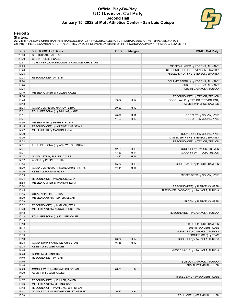### **Official Play-By-Play UC Davis vs Cal Poly Second Half January 15, 2022 at Mott Athletics Center - San Luis Obispo**



#### **Period 2**

<mark>Starters:</mark><br>UC Davis: 4 ANIGWE,CHRISTIAN (F); 5 MANJON,EZRA (G); 11 FULLER,CALEB (G); 24 ADEBAYO,ADE (G); 40 PEPPER,ELIJAH (G);<br>Cal Poly: 1 PIERCE,CAMREN (G); 2 TAYLOR,TREVON (G); 4 STEVENSON,BRANTLY (F); 15 KOROMA,ALIMAMY

| Time           | <b>VISITORS: UC Davis</b>                                       | <b>Score</b> | <b>Margin</b>  | <b>HOME: Cal Poly</b>                                                  |
|----------------|-----------------------------------------------------------------|--------------|----------------|------------------------------------------------------------------------|
| 20:00          | SUB OUT: ADEBAYO, ADE                                           |              |                |                                                                        |
| 20:00          | SUB IN: FULLER, CALEB                                           |              |                |                                                                        |
| 19:51          | TURNOVER (OUTOFBOUNDS) by ANIGWE, CHRISTIAN                     |              |                |                                                                        |
| 19:29          |                                                                 |              |                | MISSED JUMPER by KOROMA, ALIMAMY                                       |
| 19:26          |                                                                 |              |                | REBOUND (OFF) by STEVENSON, BRANTLY                                    |
| 19:25          |                                                                 |              |                | MISSED LAYUP by STEVENSON, BRANTLY                                     |
| 19:24          | REBOUND (DEF) by TEAM                                           |              |                |                                                                        |
| 19:24          |                                                                 |              |                | FOUL (PERSONAL) by KOROMA, ALIMAMY                                     |
| 19:24          |                                                                 |              |                | SUB OUT: KOROMA, ALIMAMY                                               |
| 19:24          |                                                                 |              |                | SUB IN: JAAKKOLA, TUUKKA                                               |
| 19:10          | MISSED JUMPER by FULLER, CALEB                                  |              |                |                                                                        |
| 19:06<br>18:48 |                                                                 | 39-27        | H 12           | REBOUND (DEF) by TAYLOR, TREVON<br>GOOD! LAYUP by TAYLOR, TREVON [PNT] |
| 18:48          |                                                                 |              |                | ASSIST by PIERCE, CAMREN                                               |
| 18:34          | GOOD! JUMPER by MANJON, EZRA                                    | 39-29        | H 10           |                                                                        |
| 18:01          | FOUL (PERSONAL) by MILLING, KANE                                |              |                |                                                                        |
| 18:01          |                                                                 | 40-29        | H 11           | GOOD! FT by COLVIN, KYLE                                               |
| 18:01          |                                                                 | 41-29        | H 12           | GOOD! FT by COLVIN, KYLE                                               |
| 17:50          | MISSED 3PTR by PEPPER, ELIJAH                                   |              |                |                                                                        |
| 17:45          | REBOUND (OFF) by ANIGWE, CHRISTIAN                              |              |                |                                                                        |
| 17:42          | MISSED 3PTR by MANJON, EZRA                                     |              |                |                                                                        |
| 17:39          |                                                                 |              |                | REBOUND (DEF) by COLVIN, KYLE                                          |
| 17:36          |                                                                 |              |                | MISSED 3PTR by STEVENSON, BRANTLY                                      |
| 17:32          |                                                                 |              |                | REBOUND (OFF) by TAYLOR, TREVON                                        |
| 17:31          | FOUL (PERSONAL) by ANIGWE, CHRISTIAN                            |              |                |                                                                        |
| 17:31          |                                                                 | 42-29        | H 13           | GOOD! FT by TAYLOR, TREVON                                             |
| 17:31          |                                                                 | 43-29        | H 14           | GOOD! FT by TAYLOR, TREVON                                             |
| 17:17          | GOOD! 3PTR by FULLER, CALEB                                     | 43-32        | H 11           |                                                                        |
| 17:17          | ASSIST by PEPPER, ELIJAH                                        |              |                |                                                                        |
| 16:54          |                                                                 | 45-32        | H 13           | GOOD! LAYUP by PIERCE, CAMREN                                          |
| 16:30          | GOOD! JUMPER by ANIGWE, CHRISTIAN [PNT]                         | 45-34        | H 11           |                                                                        |
| 16:30          | ASSIST by MANJON, EZRA                                          |              |                |                                                                        |
| 16:09          |                                                                 |              |                | MISSED 3PTR by COLVIN, KYLE                                            |
| 16:04          | REBOUND (DEF) by MANJON, EZRA                                   |              |                |                                                                        |
| 15:58<br>15:54 | MISSED JUMPER by MANJON, EZRA                                   |              |                | REBOUND (DEF) by PIERCE, CAMREN                                        |
| 15:45          |                                                                 |              |                | TURNOVER (BADPASS) by JAAKKOLA, TUUKKA                                 |
| 15:45          | STEAL by PEPPER, ELIJAH                                         |              |                |                                                                        |
| 15:39          | MISSED LAYUP by PEPPER, ELIJAH                                  |              |                |                                                                        |
| 15:39          |                                                                 |              |                | BLOCK by PIERCE, CAMREN                                                |
| 15:32          | REBOUND (OFF) by MANJON, EZRA                                   |              |                |                                                                        |
| 15:23          | MISSED LAYUP by ANIGWE, CHRISTIAN                               |              |                |                                                                        |
| 15:18          |                                                                 |              |                | REBOUND (DEF) by JAAKKOLA, TUUKKA                                      |
| 15:13          | FOUL (PERSONAL) by FULLER, CALEB                                |              |                |                                                                        |
| 15:13          |                                                                 |              |                |                                                                        |
| 15:13          |                                                                 |              |                | SUB OUT: PIERCE, CAMREN                                                |
| 15:13          |                                                                 |              |                | SUB IN: SANDERS, KOBE                                                  |
| 15:13          |                                                                 |              |                | MISSED FT by JAAKKOLA, TUUKKA                                          |
| 15:13          |                                                                 |              |                | REBOUND (OFF) by TEAM                                                  |
| 15:13          |                                                                 | 46-34        | H 12           | GOOD! FT by JAAKKOLA, TUUKKA                                           |
| 15:03          | GOOD! DUNK by ANIGWE, CHRISTIAN                                 | 46-36        | H 10           |                                                                        |
| 15:03          | ASSIST by FULLER, CALEB                                         |              |                |                                                                        |
| 14:40          |                                                                 |              |                | MISSED LAYUP by JAAKKOLA, TUUKKA                                       |
| 14:40          | BLOCK by MILLING, KANE                                          |              |                |                                                                        |
| 14:40          | REBOUND (DEF) by TEAM                                           |              |                |                                                                        |
| 14:40          |                                                                 |              |                | SUB OUT: JAAKKOLA, TUUKKA                                              |
| 14:40          |                                                                 |              |                | SUB IN: FRANKLIN, JULIEN                                               |
| 14:29          | GOOD! LAYUP by ANIGWE, CHRISTIAN                                | 46-38        | H 8            |                                                                        |
| 14:29          | ASSIST by FULLER, CALEB                                         |              |                |                                                                        |
| 14:11          |                                                                 |              |                | MISSED LAYUP by SANDERS, KOBE                                          |
| 14:07<br>13:46 | REBOUND (DEF) by FULLER, CALEB<br>MISSED LAYUP by MILLING, KANE |              |                |                                                                        |
| 13:43          | REBOUND (OFF) by ANIGWE, CHRISTIAN                              |              |                |                                                                        |
| 13:41          | GOOD! LAYUP by ANIGWE, CHRISTIAN [PNT]                          | 46-40        | H <sub>6</sub> |                                                                        |
| 13:38          |                                                                 |              |                | FOUL (OFF) by FRANKLIN, JULIEN                                         |
|                |                                                                 |              |                |                                                                        |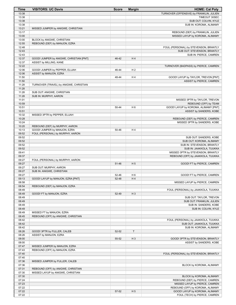| Time           | <b>VISITORS: UC Davis</b>               | <b>Score</b> | <b>Margin</b>  | <b>HOME: Cal Poly</b>                                       |
|----------------|-----------------------------------------|--------------|----------------|-------------------------------------------------------------|
| 13:38          |                                         |              |                | TURNOVER (OFFENSIVE) by FRANKLIN, JULIEN                    |
| 13:38          |                                         |              |                | TIMEOUT 30SEC                                               |
| 13:38          |                                         |              |                | SUB OUT: COLVIN, KYLE                                       |
| 13:38          |                                         |              |                | SUB IN: KOROMA, ALIMAMY                                     |
| 13:21          | MISSED JUMPER by ANIGWE, CHRISTIAN      |              |                |                                                             |
| 13:17          |                                         |              |                | REBOUND (DEF) by FRANKLIN, JULIEN                           |
| 13:00          |                                         |              |                | MISSED LAYUP by KOROMA, ALIMAMY                             |
| 13:00          | BLOCK by ANIGWE, CHRISTIAN              |              |                |                                                             |
| 12:55          | REBOUND (DEF) by MANJON, EZRA           |              |                |                                                             |
| 12:48          |                                         |              |                | FOUL (PERSONAL) by STEVENSON, BRANTLY                       |
| 12:43          |                                         |              |                | SUB OUT: STEVENSON, BRANTLY                                 |
| 12:43          |                                         |              |                | SUB IN: PIERCE, CAMREN                                      |
| 12:37          | GOOD! JUMPER by ANIGWE, CHRISTIAN [PNT] | 46-42        | H4             |                                                             |
| 12:37<br>12:22 | ASSIST by MILLING, KANE                 |              |                |                                                             |
| 12:06          | GOOD! JUMPER by PEPPER, ELIJAH          | 46-44        | H <sub>2</sub> | TURNOVER (BADPASS) by PIERCE, CAMREN                        |
| 12:06          | ASSIST by MANJON, EZRA                  |              |                |                                                             |
| 11:50          |                                         | 48-44        | H4             | GOOD! LAYUP by TAYLOR, TREVON [PNT]                         |
| 11:50          |                                         |              |                | ASSIST by PIERCE, CAMREN                                    |
| 11:28          | TURNOVER (TRAVEL) by ANIGWE, CHRISTIAN  |              |                |                                                             |
| 11:28          |                                         |              |                |                                                             |
| 11:28          | SUB OUT: ANIGWE, CHRISTIAN              |              |                |                                                             |
| 11:28          | SUB IN: MURPHY, AARON                   |              |                |                                                             |
| 11:01          |                                         |              |                | MISSED 3PTR by TAYLOR, TREVON                               |
| 10:59          |                                         |              |                | REBOUND (OFF) by TEAM                                       |
| 10:51          |                                         | 50-44        | H <sub>6</sub> | GOOD! LAYUP by KOROMA, ALIMAMY [PNT]                        |
| 10:51          |                                         |              |                | ASSIST by SANDERS, KOBE                                     |
| 10:32          | MISSED 3PTR by PEPPER, ELIJAH           |              |                |                                                             |
| 10:28          |                                         |              |                | REBOUND (DEF) by PIERCE, CAMREN                             |
| 10:24          |                                         |              |                | MISSED 3PTR by SANDERS, KOBE                                |
| 10:20          | REBOUND (DEF) by MURPHY, AARON          |              |                |                                                             |
| 10:13          | GOOD! JUMPER by MANJON, EZRA            | 50-46        | H4             |                                                             |
| 09:52          | FOUL (PERSONAL) by MURPHY, AARON        |              |                |                                                             |
| 09:52          |                                         |              |                | SUB OUT: SANDERS, KOBE                                      |
| 09:52          |                                         |              |                | SUB OUT: KOROMA, ALIMAMY                                    |
| 09:52          |                                         |              |                | SUB IN: STEVENSON, BRANTLY                                  |
| 09:52          |                                         |              |                | SUB IN: JAAKKOLA, TUUKKA                                    |
| 09:41          |                                         |              |                | MISSED 3PTR by STEVENSON, BRANTLY                           |
| 09:37<br>09:27 |                                         |              |                | REBOUND (OFF) by JAAKKOLA, TUUKKA                           |
| 09:27          | FOUL (PERSONAL) by MURPHY, AARON        | 51-46        | H <sub>5</sub> | GOOD! FT by PIERCE, CAMREN                                  |
| 09:27          | SUB OUT: MURPHY, AARON                  |              |                |                                                             |
| 09:27          | SUB IN: ANIGWE, CHRISTIAN               |              |                |                                                             |
| 09:27          |                                         | 52-46        | H 6            | GOOD! FT by PIERCE, CAMREN                                  |
| 09:13          | GOOD! LAYUP by MANJON, EZRA [PNT]       | 52-48        | H4             |                                                             |
| 08:58          |                                         |              |                | MISSED LAYUP by PIERCE, CAMREN                              |
| 08:54          | REBOUND (DEF) by MANJON, EZRA           |              |                |                                                             |
| 08:49          |                                         |              |                | FOUL (PERSONAL) by JAAKKOLA, TUUKKA                         |
| 08:49          | GOOD! FT by MANJON, EZRA                | 52-49        | $H_3$          |                                                             |
| 08:49          |                                         |              |                | SUB OUT: TAYLOR, TREVON                                     |
| 08:49          |                                         |              |                | SUB OUT: FRANKLIN, JULIEN                                   |
| 08:49          |                                         |              |                | SUB IN: SANDERS, KOBE                                       |
| 08:49          |                                         |              |                | SUB IN: COLVIN, KYLE                                        |
| 08:49          | MISSED FT by MANJON, EZRA               |              |                |                                                             |
| 08:45          | REBOUND (OFF) by ANIGWE, CHRISTIAN      |              |                |                                                             |
| 08:42          |                                         |              |                | FOUL (PERSONAL) by JAAKKOLA, TUUKKA                         |
| 08:42          |                                         |              |                | SUB OUT: JAAKKOLA, TUUKKA                                   |
| 08:42          |                                         |              |                | SUB IN: KOROMA, ALIMAMY                                     |
| 08:26          | GOOD! 3PTR by FULLER, CALEB             | 52-52        | $\mathsf T$    |                                                             |
| 08:26<br>08:00 | ASSIST by MANJON, EZRA                  |              | $H_3$          |                                                             |
| 08:00          |                                         | 55-52        |                | GOOD! 3PTR by STEVENSON, BRANTLY<br>ASSIST by SANDERS, KOBE |
| 07:47          | MISSED JUMPER by MANJON, EZRA           |              |                |                                                             |
| 07:43          | REBOUND (OFF) by MANJON, EZRA           |              |                |                                                             |
| 07:40          |                                         |              |                | FOUL (PERSONAL) by STEVENSON, BRANTLY                       |
| 07:40          |                                         |              |                |                                                             |
| 07:36          | MISSED JUMPER by FULLER, CALEB          |              |                |                                                             |
| 07:36          |                                         |              |                | BLOCK by KOROMA, ALIMAMY                                    |
| 07:31          | REBOUND (OFF) by ANIGWE, CHRISTIAN      |              |                |                                                             |
| 07:30          | MISSED LAYUP by ANIGWE, CHRISTIAN       |              |                |                                                             |
| 07:30          |                                         |              |                | BLOCK by KOROMA, ALIMAMY                                    |
| 07:24          |                                         |              |                | REBOUND (DEF) by PIERCE, CAMREN                             |
| 07:23          |                                         |              |                | MISSED LAYUP by PIERCE, CAMREN                              |
| 07:22          |                                         |              |                | REBOUND (OFF) by KOROMA, ALIMAMY                            |
| 07:22          |                                         | 57-52        | H <sub>5</sub> | GOOD! LAYUP by KOROMA, ALIMAMY                              |
| 07:22          |                                         |              |                | FOUL (TECH) by PIERCE, CAMREN                               |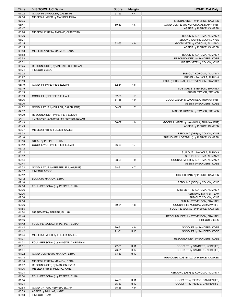| Time           | <b>VISITORS: UC Davis</b>                            | <b>Score</b> | <b>Margin</b>  | <b>HOME: Cal Poly</b>                                              |
|----------------|------------------------------------------------------|--------------|----------------|--------------------------------------------------------------------|
| 07:22          | GOOD! FT by FULLER, CALEB [FB]                       | 57-53        | H4             |                                                                    |
| 07:06          | MISSED JUMPER by MANJON, EZRA                        |              |                |                                                                    |
| 07:05          |                                                      |              |                | REBOUND (DEF) by PIERCE, CAMREN                                    |
| 06:47          |                                                      | 59-53        | H <sub>6</sub> | GOOD! JUMPER by KOROMA, ALIMAMY [PNT]                              |
| 06:47<br>06:26 |                                                      |              |                | ASSIST by PIERCE, CAMREN                                           |
| 06:26          | MISSED LAYUP by ANIGWE, CHRISTIAN                    |              |                | BLOCK by KOROMA, ALIMAMY                                           |
| 06:21          |                                                      |              |                | REBOUND (DEF) by COLVIN, KYLE                                      |
| 06:15          |                                                      | 62-53        | H9             | GOOD! 3PTR by KOROMA, ALIMAMY                                      |
| 06:15          |                                                      |              |                | ASSIST by PIERCE, CAMREN                                           |
| 05:58          | MISSED LAYUP by MANJON, EZRA                         |              |                |                                                                    |
| 05:58          |                                                      |              |                | BLOCK by KOROMA, ALIMAMY                                           |
| 05:53          |                                                      |              |                | REBOUND (DEF) by SANDERS, KOBE                                     |
| 05:31          |                                                      |              |                | MISSED 3PTR by COLVIN, KYLE                                        |
| 05:25          | REBOUND (DEF) by ANIGWE, CHRISTIAN                   |              |                |                                                                    |
| 05:24          | TIMEOUT 30SEC                                        |              |                |                                                                    |
| 05:22<br>05:22 |                                                      |              |                | SUB OUT: KOROMA, ALIMAMY                                           |
| 05:19          |                                                      |              |                | SUB IN: JAAKKOLA, TUUKKA<br>FOUL (PERSONAL) by STEVENSON, BRANTLY  |
| 05:19          | GOOD! FT by PEPPER, ELIJAH                           | 62-54        | H <sub>8</sub> |                                                                    |
| 05:19          |                                                      |              |                | SUB OUT: STEVENSON, BRANTLY                                        |
| 05:19          |                                                      |              |                | SUB IN: TAYLOR, TREVON                                             |
| 05:19          | GOOD! FT by PEPPER, ELIJAH                           | 62-55        | H <sub>7</sub> |                                                                    |
| 05:06          |                                                      | 64-55        | H <sub>9</sub> | GOOD! LAYUP by JAAKKOLA, TUUKKA [PNT]                              |
| 05:06          |                                                      |              |                | ASSIST by SANDERS, KOBE                                            |
| 04:52          | GOOD! LAYUP by FULLER, CALEB [PNT]                   | 64-57        | H <sub>7</sub> |                                                                    |
| 04:32          |                                                      |              |                | MISSED JUMPER by TAYLOR, TREVON                                    |
| 04:29          | REBOUND (DEF) by PEPPER, ELIJAH                      |              |                |                                                                    |
| 04:11<br>03:49 | TURNOVER (BADPASS) by PEPPER, ELIJAH                 |              | H <sub>9</sub> |                                                                    |
| 03:49          |                                                      | 66-57        |                | GOOD! JUMPER by JAAKKOLA, TUUKKA [PNT]<br>ASSIST by PIERCE, CAMREN |
| 03:37          | MISSED 3PTR by FULLER, CALEB                         |              |                |                                                                    |
| 03:33          |                                                      |              |                | REBOUND (DEF) by COLVIN, KYLE                                      |
| 03:16          |                                                      |              |                | TURNOVER (LOSTBALL) by PIERCE, CAMREN                              |
| 03:16          | STEAL by PEPPER, ELIJAH                              |              |                |                                                                    |
| 03:12          | GOOD! LAYUP by PEPPER, ELIJAH                        | 66-59        | H 7            |                                                                    |
| 03:12          |                                                      |              |                |                                                                    |
| 03:12          |                                                      |              |                | SUB OUT: JAAKKOLA, TUUKKA                                          |
| 03:12          |                                                      |              |                | SUB IN: KOROMA, ALIMAMY                                            |
| 02:44          |                                                      | 68-59        | H <sub>9</sub> | GOOD! JUMPER by KOROMA, ALIMAMY                                    |
| 02:44<br>02:32 |                                                      |              | H <sub>7</sub> | ASSIST by SANDERS, KOBE                                            |
| 02:32          | GOOD! LAYUP by PEPPER, ELIJAH [PNT]<br>TIMEOUT 30SEC | 68-61        |                |                                                                    |
| 02:12          |                                                      |              |                | MISSED 3PTR by PIERCE, CAMREN                                      |
| 02:12          | BLOCK by MANJON, EZRA                                |              |                |                                                                    |
| 02:10          |                                                      |              |                | REBOUND (OFF) by COLVIN, KYLE                                      |
| 02:06          | FOUL (PERSONAL) by PEPPER, ELIJAH                    |              |                |                                                                    |
| 02:06          |                                                      |              |                | MISSED FT by KOROMA, ALIMAMY                                       |
| 02:06          |                                                      |              |                | REBOUND (OFF) by TEAM                                              |
| 02:06          |                                                      |              |                | SUB OUT: COLVIN, KYLE                                              |
| 02:06          |                                                      |              |                | SUB IN: STEVENSON, BRANTLY                                         |
| 02:06          |                                                      | 69-61        | H <sub>8</sub> | GOOD! FT by KOROMA, ALIMAMY [FB]                                   |
| 01:55          |                                                      |              |                | FOUL (PERSONAL) by PIERCE, CAMREN                                  |
| 01:54<br>01:48 | MISSED FT by PEPPER, ELIJAH                          |              |                | REBOUND (DEF) by STEVENSON, BRANTLY                                |
| 01:46          |                                                      |              |                | TIMEOUT 30SEC                                                      |
| 01:42          | FOUL (PERSONAL) by PEPPER, ELIJAH                    |              |                |                                                                    |
| 01:42          |                                                      | 70-61        | H <sub>9</sub> | GOOD! FT by SANDERS, KOBE                                          |
| 01:42          |                                                      | $71-61$      | H 10           | GOOD! FT by SANDERS, KOBE                                          |
| 01:34          | MISSED JUMPER by FULLER, CALEB                       |              |                |                                                                    |
| 01:31          |                                                      |              |                | REBOUND (DEF) by SANDERS, KOBE                                     |
| 01:31          | FOUL (PERSONAL) by ANIGWE, CHRISTIAN                 |              |                |                                                                    |
| 01:31          |                                                      | 72-61        | H 11           | GOOD! FT by SANDERS, KOBE [FB]                                     |
| 01:31          |                                                      | 73-61        | H 12           | GOOD! FT by SANDERS, KOBE [FB]                                     |
| 01:22          | GOOD! JUMPER by MANJON, EZRA                         | 73-63        | H 10           |                                                                    |
| 01:18<br>01:10 | MISSED LAYUP by MANJON, EZRA                         |              |                | TURNOVER (LOSTBALL) by PIERCE, CAMREN                              |
| 01:07          | REBOUND (OFF) by MANJON, EZRA                        |              |                |                                                                    |
| 01:06          | MISSED 3PTR by MILLING, KANE                         |              |                |                                                                    |
| 01:04          |                                                      |              |                | REBOUND (DEF) by KOROMA, ALIMAMY                                   |
| 01:04          | FOUL (PERSONAL) by PEPPER, ELIJAH                    |              |                |                                                                    |
| 01:04          |                                                      | 74-63        | H 11           | GOOD! FT by PIERCE, CAMREN [FB]                                    |
| 01:04          |                                                      | 75-63        | H 12           | GOOD! FT by PIERCE, CAMREN [FB]                                    |
| 00:53          | GOOD! 3PTR by PEPPER, ELIJAH                         | 75-66        | H <sub>9</sub> |                                                                    |
| 00:53          | ASSIST by MILLING, KANE                              |              |                |                                                                    |
| 00:53          | <b>TIMEOUT TEAM</b>                                  |              |                |                                                                    |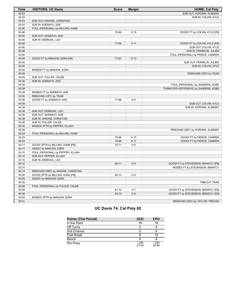| <b>Time</b> | <b>VISITORS: UC Davis</b>          | <b>Score</b> | <b>Margin</b>  | <b>HOME: Cal Poly</b>                 |
|-------------|------------------------------------|--------------|----------------|---------------------------------------|
| 00:53       |                                    |              |                | SUB OUT: KOROMA, ALIMAMY              |
| 00:53       |                                    |              |                | SUB IN: COLVIN, KYLE                  |
| 00:53       | SUB OUT: ANIGWE, CHRISTIAN         |              |                |                                       |
| 00:53       | SUB IN: ADEBAYO, ADE               |              |                |                                       |
| 00:46       | FOUL (PERSONAL) by MILLING, KANE   |              |                |                                       |
| 00:46       |                                    | 76-66        | H 10           | GOOD! FT by COLVIN, KYLE [FB]         |
| 00:46       | SUB OUT: ADEBAYO, ADE              |              |                |                                       |
| 00:46       | SUB IN: DEBRUHL, LEO               |              |                |                                       |
| 00:46       |                                    | 77-66        | H 11           | GOOD! FT by COLVIN, KYLE [FB]         |
| 00:46       |                                    |              |                | SUB OUT: COLVIN. KYLE                 |
| 00:46       |                                    |              |                | SUB IN: FRANKLIN, JULIEN              |
| 00:40       |                                    |              |                | FOUL (PERSONAL) by PIERCE, CAMREN     |
| 00:40       | GOOD! FT by MANJON, EZRA [FB]      | 77-67        | H 10           |                                       |
| 00:40       |                                    |              |                | SUB OUT: FRANKLIN, JULIEN             |
| 00:40       |                                    |              |                | SUB IN: COLVIN, KYLE                  |
| 00:40       | MISSED FT by MANJON, EZRA          |              |                |                                       |
| 00:40       |                                    |              |                | REBOUND (DEF) by TEAM                 |
| 00:40       | SUB OUT: FULLER, CALEB             |              |                |                                       |
| 00:40       | SUB IN: ADEBAYO, ADE               |              |                |                                       |
| 00:38       |                                    |              |                | FOUL (PERSONAL) by SANDERS, KOBE      |
| 00:38       |                                    |              |                | TURNOVER (OFFENSIVE) by SANDERS, KOBE |
| 00:38       | MISSED FT by ADEBAYO, ADE          |              |                |                                       |
| 00:38       | REBOUND (OFF) by TEAM              |              |                |                                       |
| 00:38       | GOOD! FT by ADEBAYO, ADE           | 77-68        | H <sub>9</sub> |                                       |
| 00:38       |                                    |              |                | SUB OUT: COLVIN, KYLE                 |
| 00:38       |                                    |              |                | SUB IN: KOROMA, ALIMAMY               |
| 00:38       | SUB OUT: DEBRUHL, LEO              |              |                |                                       |
| 00:38       | SUB OUT: ADEBAYO, ADE              |              |                |                                       |
| 00:38       | SUB IN: ANIGWE, CHRISTIAN          |              |                |                                       |
| 00:38       | SUB IN: FULLER, CALEB              |              |                |                                       |
| 00:35       | MISSED 3PTR by PEPPER, ELIJAH      |              |                |                                       |
| 00:29       |                                    |              |                | REBOUND (DEF) by KOROMA, ALIMAMY      |
| 00:23       | FOUL (PERSONAL) by MILLING, KANE   |              |                |                                       |
| 00:23       |                                    | 78-68        | H 10           | GOOD! FT by PIERCE, CAMREN            |
| 00:23       |                                    | 79-68        | H 11           | GOOD! FT by PIERCE, CAMREN            |
| 00:17       | GOOD! 3PTR by MILLING, KANE [FB]   | 79-71        | H 8            |                                       |
| 00:17       | ASSIST by MANJON, EZRA             |              |                |                                       |
| 00:15       | FOUL (PERSONAL) by PEPPER, ELIJAH  |              |                |                                       |
| 00:15       | SUB OUT: PEPPER, ELIJAH            |              |                |                                       |
| 00:15       | SUB IN: DEBRUHL, LEO               |              |                |                                       |
| 00:15       |                                    | 80-71        | H9             | GOOD! FT by STEVENSON, BRANTLY [FB]   |
| 00:15       |                                    |              |                | MISSED FT by STEVENSON, BRANTLY       |
| 00:14       | REBOUND (DEF) by ANIGWE, CHRISTIAN |              |                |                                       |
| 00:09       | GOOD! 3PTR by MILLING, KANE [FB]   | 80-74        | H <sub>6</sub> |                                       |
| 00:09       | ASSIST by MANJON, EZRA             |              |                |                                       |
| 00:09       |                                    |              |                | <b>TIMEOUT TEAM</b>                   |
| 00:08       | FOUL (PERSONAL) by FULLER, CALEB   |              |                |                                       |
| 00:08       |                                    | 81-74        | H 7            | GOOD! FT by STEVENSON, BRANTLY [FB]   |
| 00:08       |                                    | 82-74        | H8             | GOOD! FT by STEVENSON, BRANTLY [FB]   |
| 00:04       | MISSED 3PTR by MANJON, EZRA        |              |                |                                       |
| 00:01       |                                    |              |                | REBOUND (DEF) by TAYLOR, TREVON       |

# **UC Davis 74, Cal Poly 82**

| <b>Points (This Period)</b> | <b>UCD</b>     | <b>CPU</b>     |
|-----------------------------|----------------|----------------|
| In the Paint                | 18             | 18             |
| Off Turns                   | 5              |                |
| 2nd Chance                  | 5              |                |
| <b>Fast Break</b>           |                | 10             |
| Bench                       |                |                |
| Per Poss                    | 1.205<br>21/39 | 1.250<br>22/36 |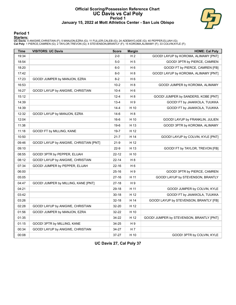#### **Official Scoring/Possession Reference Chart UC Davis vs Cal Poly Period 1 January 15, 2022 at Mott Athletics Center - San Luis Obispo**



#### **Period 1**

<mark>Starters:</mark><br>UC Davis: 4 ANIGWE,CHRISTIAN (F); 5 MANJON,EZRA (G); 11 FULLER,CALEB (G); 24 ADEBAYO,ADE (G); 40 PEPPER,ELIJAH (G);<br>Cal Poly: 1 PIERCE,CAMREN (G); 2 TAYLOR,TREVON (G); 4 STEVENSON,BRANTLY (F); 15 KOROMA,ALIMAMY

| <b>Time</b> | <b>VISITORS: UC Davis</b>              | <b>Score</b> | <b>Margin</b>  | <b>HOME: Cal Poly</b>                    |
|-------------|----------------------------------------|--------------|----------------|------------------------------------------|
| 19:34       |                                        | $2 - 0$      | H <sub>2</sub> | GOOD! LAYUP by KOROMA, ALIMAMY [PNT]     |
| 18:54       |                                        | $5-0$        | H <sub>5</sub> | GOOD! 3PTR by PIERCE, CAMREN             |
| 18:20       |                                        | $6-0$        | H <sub>6</sub> | GOOD! FT by PIERCE, CAMREN [FB]          |
| 17:42       |                                        | $8-0$        | H <sub>8</sub> | GOOD! LAYUP by KOROMA, ALIMAMY [PNT]     |
| 17:23       | GOOD! JUMPER by MANJON, EZRA           | $8 - 2$      | H <sub>6</sub> |                                          |
| 16:53       |                                        | $10-2$       | H <sub>8</sub> | GOOD! JUMPER by KOROMA, ALIMAMY          |
| 16:27       | GOOD! LAYUP by ANIGWE, CHRISTIAN       | $10 - 4$     | H <sub>6</sub> |                                          |
| 15:12       |                                        | $12 - 4$     | H <sub>8</sub> | GOOD! JUMPER by SANDERS, KOBE [PNT]      |
| 14:39       |                                        | $13 - 4$     | H9             | GOOD! FT by JAAKKOLA, TUUKKA             |
| 14:39       |                                        | $14 - 4$     | H 10           | GOOD! FT by JAAKKOLA, TUUKKA             |
| 12:32       | GOOD! LAYUP by MANJON, EZRA            | $14-6$       | H <sub>8</sub> |                                          |
| 12:04       |                                        | $16-6$       | H 10           | GOOD! LAYUP by FRANKLIN, JULIEN          |
| 11:38       |                                        | $19-6$       | H 13           | GOOD! 3PTR by KOROMA, ALIMAMY            |
| 11:18       | GOOD! FT by MILLING, KANE              | $19 - 7$     | H 12           |                                          |
| 10:50       |                                        | $21 - 7$     | H 14           | GOOD! LAYUP by COLVIN, KYLE [PNT]        |
| 09:46       | GOOD! LAYUP by ANIGWE, CHRISTIAN [PNT] | $21-9$       | H 12           |                                          |
| 09:10       |                                        | $22-9$       | H 13           | GOOD! FT by TAYLOR, TREVON [FB]          |
| 08:55       | GOOD! 3PTR by PEPPER, ELIJAH           | $22 - 12$    | H 10           |                                          |
| 08:12       | GOOD! LAYUP by ANIGWE, CHRISTIAN       | 22-14        | H <sub>8</sub> |                                          |
| 07:34       | GOOD! JUMPER by PEPPER, ELIJAH         | $22 - 16$    | H <sub>6</sub> |                                          |
| 06:00       |                                        | $25 - 16$    | H 9            | GOOD! 3PTR by PIERCE, CAMREN             |
| 05:05       |                                        | $27-16$      | H 11           | GOOD! LAYUP by STEVENSON, BRANTLY        |
| 04:47       | GOOD! JUMPER by MILLING, KANE [PNT]    | $27-18$      | H 9            |                                          |
| 04:21       |                                        | 29-18        | H 11           | GOOD! JUMPER by COLVIN, KYLE             |
| 03:42       |                                        | $30 - 18$    | H 12           | GOOD! FT by JAAKKOLA, TUUKKA             |
| 03:26       |                                        | $32 - 18$    | H 14           | GOOD! LAYUP by STEVENSON, BRANTLY [FB]   |
| 02:28       | GOOD! LAYUP by ANIGWE, CHRISTIAN       | 32-20        | H 12           |                                          |
| 01:56       | GOOD! JUMPER by MANJON, EZRA           | 32-22        | H 10           |                                          |
| 01:35       |                                        | 34-22        | H 12           | GOOD! JUMPER by STEVENSON, BRANTLY [PNT] |
| 01:15       | GOOD! 3PTR by MILLING, KANE            | 34-25        | H 9            |                                          |
| 00:34       | GOOD! LAYUP by ANIGWE, CHRISTIAN       | 34-27        | H <sub>7</sub> |                                          |
| 00:08       |                                        | 37-27        | H 10           | GOOD! 3PTR by COLVIN, KYLE               |

**UC Davis 27, Cal Poly 37**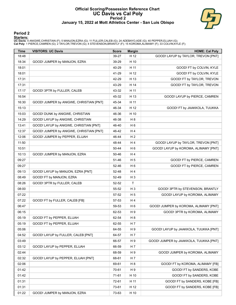#### **Official Scoring/Possession Reference Chart UC Davis vs Cal Poly Period 2 January 15, 2022 at Mott Athletics Center - San Luis Obispo**



### **Period 2**

<mark>Starters:</mark><br>UC Davis: 4 ANIGWE,CHRISTIAN (F); 5 MANJON,EZRA (G); 11 FULLER,CALEB (G); 24 ADEBAYO,ADE (G); 40 PEPPER,ELIJAH (G);<br>Cal Poly: 1 PIERCE,CAMREN (G); 2 TAYLOR,TREVON (G); 4 STEVENSON,BRANTLY (F); 15 KOROMA,ALIMAMY

| Time  | <b>VISITORS: UC Davis</b>               | <b>Score</b> | <b>Margin</b>  | <b>HOME: Cal Poly</b>                  |
|-------|-----------------------------------------|--------------|----------------|----------------------------------------|
| 18:48 |                                         | 39-27        | H 12           | GOOD! LAYUP by TAYLOR, TREVON [PNT]    |
| 18:34 | GOOD! JUMPER by MANJON, EZRA            | 39-29        | H 10           |                                        |
| 18:01 |                                         | 40-29        | H 11           | GOOD! FT by COLVIN, KYLE               |
| 18:01 |                                         | 41-29        | H 12           | GOOD! FT by COLVIN, KYLE               |
| 17:31 |                                         | 42-29        | H 13           | GOOD! FT by TAYLOR, TREVON             |
| 17:31 |                                         | 43-29        | H 14           | GOOD! FT by TAYLOR, TREVON             |
| 17:17 | GOOD! 3PTR by FULLER, CALEB             | 43-32        | H 11           |                                        |
| 16:54 |                                         | 45-32        | H 13           | GOOD! LAYUP by PIERCE, CAMREN          |
| 16:30 | GOOD! JUMPER by ANIGWE, CHRISTIAN [PNT] | 45-34        | H 11           |                                        |
| 15:13 |                                         | 46-34        | H 12           | GOOD! FT by JAAKKOLA, TUUKKA           |
| 15:03 | GOOD! DUNK by ANIGWE, CHRISTIAN         | 46-36        | H 10           |                                        |
| 14:29 | GOOD! LAYUP by ANIGWE, CHRISTIAN        | 46-38        | H <sub>8</sub> |                                        |
| 13:41 | GOOD! LAYUP by ANIGWE, CHRISTIAN [PNT]  | 46-40        | H <sub>6</sub> |                                        |
| 12:37 | GOOD! JUMPER by ANIGWE, CHRISTIAN [PNT] | 46-42        | H 4            |                                        |
| 12:06 | GOOD! JUMPER by PEPPER, ELIJAH          | 46-44        | H <sub>2</sub> |                                        |
| 11:50 |                                         | 48-44        | H4             | GOOD! LAYUP by TAYLOR, TREVON [PNT]    |
| 10:51 |                                         | 50-44        | H <sub>6</sub> | GOOD! LAYUP by KOROMA, ALIMAMY [PNT]   |
| 10:13 | GOOD! JUMPER by MANJON, EZRA            | 50-46        | H 4            |                                        |
| 09:27 |                                         | 51-46        | H <sub>5</sub> | GOOD! FT by PIERCE, CAMREN             |
| 09:27 |                                         | 52-46        | H <sub>6</sub> | GOOD! FT by PIERCE, CAMREN             |
| 09:13 | GOOD! LAYUP by MANJON, EZRA [PNT]       | 52-48        | H4             |                                        |
| 08:49 | GOOD! FT by MANJON, EZRA                | 52-49        | H <sub>3</sub> |                                        |
| 08:26 | GOOD! 3PTR by FULLER, CALEB             | 52-52        | $\mathsf T$    |                                        |
| 08:00 |                                         | 55-52        | $H_3$          | GOOD! 3PTR by STEVENSON, BRANTLY       |
| 07:22 |                                         | 57-52        | H <sub>5</sub> | GOOD! LAYUP by KOROMA, ALIMAMY         |
| 07:22 | GOOD! FT by FULLER, CALEB [FB]          | 57-53        | H 4            |                                        |
| 06:47 |                                         | 59-53        | H <sub>6</sub> | GOOD! JUMPER by KOROMA, ALIMAMY [PNT]  |
| 06:15 |                                         | 62-53        | H 9            | GOOD! 3PTR by KOROMA, ALIMAMY          |
| 05:19 | GOOD! FT by PEPPER, ELIJAH              | 62-54        | H <sub>8</sub> |                                        |
| 05:19 | GOOD! FT by PEPPER, ELIJAH              | 62-55        | H 7            |                                        |
| 05:06 |                                         | 64-55        | H 9            | GOOD! LAYUP by JAAKKOLA, TUUKKA [PNT]  |
| 04:52 | GOOD! LAYUP by FULLER, CALEB [PNT]      | 64-57        | H 7            |                                        |
| 03:49 |                                         | 66-57        | H 9            | GOOD! JUMPER by JAAKKOLA, TUUKKA [PNT] |
| 03:12 | GOOD! LAYUP by PEPPER, ELIJAH           | 66-59        | H 7            |                                        |
| 02:44 |                                         | 68-59        | H 9            | GOOD! JUMPER by KOROMA, ALIMAMY        |
| 02:32 | GOOD! LAYUP by PEPPER, ELIJAH [PNT]     | 68-61        | H 7            |                                        |
| 02:06 |                                         | 69-61        | H <sub>8</sub> | GOOD! FT by KOROMA, ALIMAMY [FB]       |
| 01:42 |                                         | 70-61        | H 9            | GOOD! FT by SANDERS, KOBE              |
| 01:42 |                                         | 71-61        | H 10           | GOOD! FT by SANDERS, KOBE              |
| 01:31 |                                         | 72-61        | H 11           | GOOD! FT by SANDERS, KOBE [FB]         |
| 01:31 |                                         | 73-61        | H 12           | GOOD! FT by SANDERS, KOBE [FB]         |
| 01:22 | GOOD! JUMPER by MANJON, EZRA            | 73-63        | H 10           |                                        |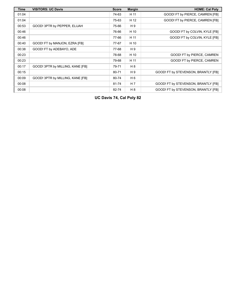| <b>Time</b> | <b>VISITORS: UC Davis</b>        | <b>Score</b> | <b>Margin</b>  | <b>HOME: Cal Poly</b>               |
|-------------|----------------------------------|--------------|----------------|-------------------------------------|
| 01:04       |                                  | 74-63        | H 11           | GOOD! FT by PIERCE, CAMREN [FB]     |
| 01:04       |                                  | 75-63        | H 12           | GOOD! FT by PIERCE, CAMREN [FB]     |
| 00:53       | GOOD! 3PTR by PEPPER, ELIJAH     | 75-66        | H 9            |                                     |
| 00:46       |                                  | 76-66        | H 10           | GOOD! FT by COLVIN, KYLE [FB]       |
| 00:46       |                                  | 77-66        | H 11           | GOOD! FT by COLVIN, KYLE [FB]       |
| 00:40       | GOOD! FT by MANJON, EZRA [FB]    | 77-67        | H 10           |                                     |
| 00:38       | GOOD! FT by ADEBAYO, ADE         | 77-68        | H 9            |                                     |
| 00:23       |                                  | 78-68        | H 10           | GOOD! FT by PIERCE, CAMREN          |
| 00:23       |                                  | 79-68        | H 11           | GOOD! FT by PIERCE, CAMREN          |
| 00:17       | GOOD! 3PTR by MILLING, KANE [FB] | 79-71        | H 8            |                                     |
| 00:15       |                                  | 80-71        | H 9            | GOOD! FT by STEVENSON, BRANTLY [FB] |
| 00:09       | GOOD! 3PTR by MILLING, KANE [FB] | 80-74        | H 6            |                                     |
| 00:08       |                                  | 81-74        | H <sub>7</sub> | GOOD! FT by STEVENSON, BRANTLY [FB] |
| 00:08       |                                  | 82-74        | H 8            | GOOD! FT by STEVENSON, BRANTLY [FB] |

**UC Davis 74, Cal Poly 82**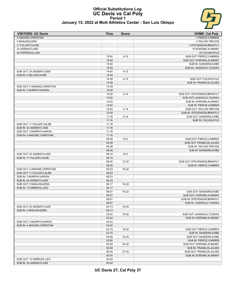#### **Official Substitutions Log UC Davis vs Cal Poly Period 1 January 15, 2022 at Mott Athletics Center - San Luis Obispo**



| January 15, 2022 at Mott Athletics Center - San Luis Obispc |  |
|-------------------------------------------------------------|--|
|-------------------------------------------------------------|--|

| <b>VISITORS: UC Davis</b>    | Time  | <b>Score</b> | <b>HOME: Cal Poly</b>       |
|------------------------------|-------|--------------|-----------------------------|
| 4 ANIGWE, CHRISTIAN          |       |              | 1 PIERCE, CAMREN            |
| 5 MANJON, EZRA               |       |              | 2 TAYLOR, TREVON            |
| 11 FULLER, CALEB             |       |              | 4 STEVENSON.BRANTLY         |
| 24 ADEBAYO, ADE              |       |              | 15 KOROMA, ALIMAMY          |
| 40 PEPPER, ELIJAH            |       |              | 33 COLVIN, KYLE             |
|                              | 15:40 | $4 - 10$     | SUB OUT: PIERCE, CAMREN     |
|                              | 15:40 |              | SUB OUT: KOROMA, ALIMAMY    |
|                              | 15:40 |              | SUB IN: SANDERS, KOBE       |
|                              | 15:40 |              | SUB IN: JAAKKOLA, TUUKKA    |
| SUB OUT: 24 ADEBAYO, ADE     | 14:54 | $4 - 12$     |                             |
| SUB IN: 0 MILLING, KANE      | 14:54 |              |                             |
|                              | 14:39 | $4 - 13$     | SUB OUT: COLVIN, KYLE       |
|                              | 14:39 |              | SUB IN: FRANKLIN, JULIEN    |
| SUB OUT: 4 ANIGWE, CHRISTIAN | 14:39 |              |                             |
| SUB IN: 3 MURPHY, AARON      | 14:39 |              |                             |
|                              | 14:02 | $4 - 14$     | SUB OUT: STEVENSON, BRANTLY |
|                              | 14:02 |              | SUB OUT: JAAKKOLA, TUUKKA   |
|                              | 14:02 |              | SUB IN: KOROMA, ALIMAMY     |
|                              | 14:02 |              | SUB IN: PIERCE, CAMREN      |
|                              | 12:54 | $4 - 14$     | SUB OUT: TAYLOR, TREVON     |
|                              | 12:54 |              | SUB IN: STEVENSON, BRANTLY  |
|                              | 11:18 | $6 - 19$     | SUB OUT: SANDERS, KOBE      |
|                              | 11:18 |              | SUB IN: COLVIN, KYLE        |
| SUB OUT: 11 FULLER, CALEB    | 11:18 |              |                             |
| SUB IN: 24 ADEBAYO.ADE       | 11:18 |              |                             |
| SUB OUT: 3 MURPHY, AARON     | 11:18 |              |                             |
| SUB IN: 4 ANIGWE, CHRISTIAN  | 11:18 |              |                             |
|                              | 09:39 | $9 - 21$     | SUB OUT: PIERCE, CAMREN     |
|                              | 09:39 |              | SUB OUT: FRANKLIN, JULIEN   |
|                              | 09:39 |              | SUB IN: TAYLOR, TREVON      |
|                              | 09:39 |              | SUB IN: SANDERS, KOBE       |
| SUB OUT: 24 ADEBAYO, ADE     | 09:10 | $9 - 21$     |                             |
| SUB IN: 11 FULLER, CALEB     | 09:10 |              |                             |
|                              | 08:30 | 12-22        | SUB OUT: STEVENSON, BRANTLY |
|                              | 08:30 |              | SUB IN: PIERCE, CAMREN      |
| SUB OUT: 4 ANIGWE, CHRISTIAN | 06:23 | 16-22        |                             |
| SUB OUT: 11 FULLER, CALEB    | 06:23 |              |                             |
| SUB IN: 3 MURPHY, AARON      | 06:23 |              |                             |
| SUB IN: 24 ADEBAYO, ADE      | 06:23 |              |                             |
| SUB OUT: 5 MANJON, EZRA      | 06:17 | 16-22        |                             |
| SUB IN: 10 DEBRUHL, LEO      | 06:17 |              |                             |
|                              | 06:07 | 16-22        | SUB OUT: SANDERS, KOBE      |
|                              | 06:07 |              | SUB OUT: KOROMA, ALIMAMY    |
|                              | 06:07 |              | SUB IN: STEVENSON, BRANTLY  |
|                              | 06:07 |              | SUB IN: JAAKKOLA, TUUKKA    |
| SUB OUT: 24 ADEBAYO, ADE     | 05:13 | 16-25        |                             |
| SUB IN: 5 MANJON, EZRA       | 05:13 |              |                             |
|                              | 03:42 | 18-30        | SUB OUT: JAAKKOLA, TUUKKA   |
|                              | 03:42 |              | SUB IN: KOROMA, ALIMAMY     |
| SUB OUT: 3 MURPHY, AARON     | 03:42 |              |                             |
| SUB IN: 4 ANIGWE, CHRISTIAN  | 03:42 |              |                             |
|                              | 03:15 | 18-32        | SUB OUT: PIERCE, CAMREN     |
|                              | 03:15 |              | SUB IN: SANDERS, KOBE       |
|                              | 03:00 | 18-32        | SUB OUT: SANDERS, KOBE      |
|                              | 03:00 |              | SUB IN: PIERCE, CAMREN      |
|                              | 02:09 | 20-32        | SUB OUT: KOROMA, ALIMAMY    |
|                              | 02:09 |              | SUB IN: FRANKLIN, JULIEN    |
|                              | 00:34 | 27-34        | SUB OUT: FRANKLIN, JULIEN   |
|                              | 00:34 |              | SUB IN: KOROMA, ALIMAMY     |
| SUB OUT: 10 DEBRUHL, LEO     | 00:34 |              |                             |
| SUB IN: 24 ADEBAYO, ADE      | 00:34 |              |                             |

**UC Davis 27, Cal Poly 37**